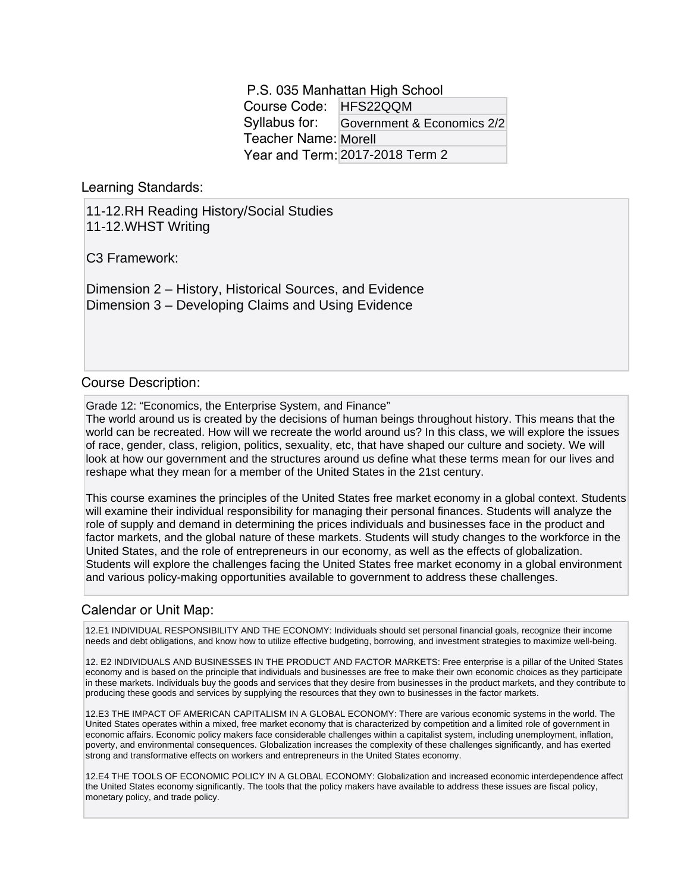P.S. 035 Manhattan High School Course Code: HFS22QQM Syllabus for: Teacher Name: Morell Year and Term: 2017-2018 Term 2 Government & Economics 2/2

Learning Standards:

11-12.RH Reading History/Social Studies 11-12.WHST Writing

C3 Framework:

Dimension 2 – History, Historical Sources, and Evidence Dimension 3 – Developing Claims and Using Evidence

## Course Description:

Grade 12: "Economics, the Enterprise System, and Finance"

The world around us is created by the decisions of human beings throughout history. This means that the world can be recreated. How will we recreate the world around us? In this class, we will explore the issues of race, gender, class, religion, politics, sexuality, etc, that have shaped our culture and society. We will look at how our government and the structures around us define what these terms mean for our lives and reshape what they mean for a member of the United States in the 21st century.

This course examines the principles of the United States free market economy in a global context. Students will examine their individual responsibility for managing their personal finances. Students will analyze the role of supply and demand in determining the prices individuals and businesses face in the product and factor markets, and the global nature of these markets. Students will study changes to the workforce in the United States, and the role of entrepreneurs in our economy, as well as the effects of globalization. Students will explore the challenges facing the United States free market economy in a global environment and various policy-making opportunities available to government to address these challenges.

## Calendar or Unit Map:

12.E1 INDIVIDUAL RESPONSIBILITY AND THE ECONOMY: Individuals should set personal financial goals, recognize their income needs and debt obligations, and know how to utilize effective budgeting, borrowing, and investment strategies to maximize well-being.

12. E2 INDIVIDUALS AND BUSINESSES IN THE PRODUCT AND FACTOR MARKETS: Free enterprise is a pillar of the United States economy and is based on the principle that individuals and businesses are free to make their own economic choices as they participate in these markets. Individuals buy the goods and services that they desire from businesses in the product markets, and they contribute to producing these goods and services by supplying the resources that they own to businesses in the factor markets.

12.E3 THE IMPACT OF AMERICAN CAPITALISM IN A GLOBAL ECONOMY: There are various economic systems in the world. The United States operates within a mixed, free market economy that is characterized by competition and a limited role of government in economic affairs. Economic policy makers face considerable challenges within a capitalist system, including unemployment, inflation, poverty, and environmental consequences. Globalization increases the complexity of these challenges significantly, and has exerted strong and transformative effects on workers and entrepreneurs in the United States economy.

12.E4 THE TOOLS OF ECONOMIC POLICY IN A GLOBAL ECONOMY: Globalization and increased economic interdependence affect the United States economy significantly. The tools that the policy makers have available to address these issues are fiscal policy, monetary policy, and trade policy.